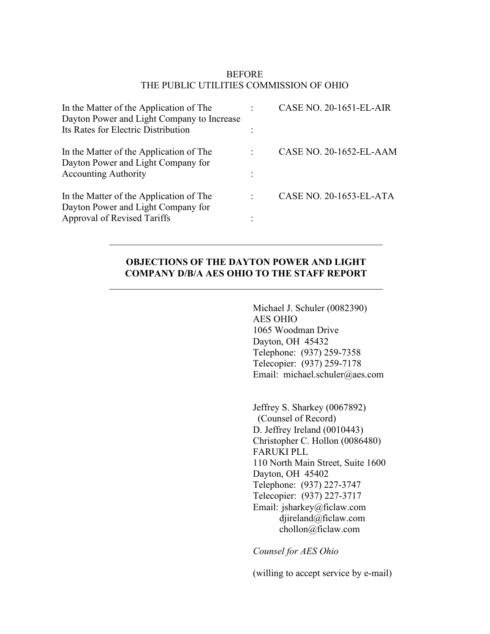# BEFORE THE PUBLIC UTILITIES COMMISSION OF OHIO

| In the Matter of the Application of The<br>Dayton Power and Light Company to Increase | CASE NO. 20-1651-EL-AIR |
|---------------------------------------------------------------------------------------|-------------------------|
| Its Rates for Electric Distribution                                                   |                         |
| In the Matter of the Application of The<br>Dayton Power and Light Company for         | CASE NO. 20-1652-EL-AAM |
| <b>Accounting Authority</b>                                                           |                         |
| In the Matter of the Application of The<br>Dayton Power and Light Company for         | CASE NO. 20-1653-EL-ATA |
| Approval of Revised Tariffs                                                           |                         |

## **OBJECTIONS OF THE DAYTON POWER AND LIGHT COMPANY D/B/A AES OHIO TO THE STAFF REPORT**

\_\_\_\_\_\_\_\_\_\_\_\_\_\_\_\_\_\_\_\_\_\_\_\_\_\_\_\_\_\_\_\_\_\_\_\_\_\_\_\_\_\_\_\_\_\_\_\_\_\_\_\_\_\_\_\_\_

 $\mathcal{L}_\text{max} = \mathcal{L}_\text{max} = \mathcal{L}_\text{max} = \mathcal{L}_\text{max} = \mathcal{L}_\text{max} = \mathcal{L}_\text{max} = \mathcal{L}_\text{max} = \mathcal{L}_\text{max} = \mathcal{L}_\text{max} = \mathcal{L}_\text{max} = \mathcal{L}_\text{max} = \mathcal{L}_\text{max} = \mathcal{L}_\text{max} = \mathcal{L}_\text{max} = \mathcal{L}_\text{max} = \mathcal{L}_\text{max} = \mathcal{L}_\text{max} = \mathcal{L}_\text{max} = \mathcal{$ 

Michael J. Schuler (0082390) AES OHIO 1065 Woodman Drive Dayton, OH 45432 Telephone: (937) 259-7358 Telecopier: (937) 259-7178 Email: michael.schuler@aes.com

Jeffrey S. Sharkey (0067892) (Counsel of Record) D. Jeffrey Ireland (0010443) Christopher C. Hollon (0086480) FARUKI PLL 110 North Main Street, Suite 1600 Dayton, OH 45402 Telephone: (937) 227-3747 Telecopier: (937) 227-3717 Email: jsharkey@ficlaw.com djireland@ficlaw.com chollon@ficlaw.com

*Counsel for AES Ohio*

(willing to accept service by e-mail)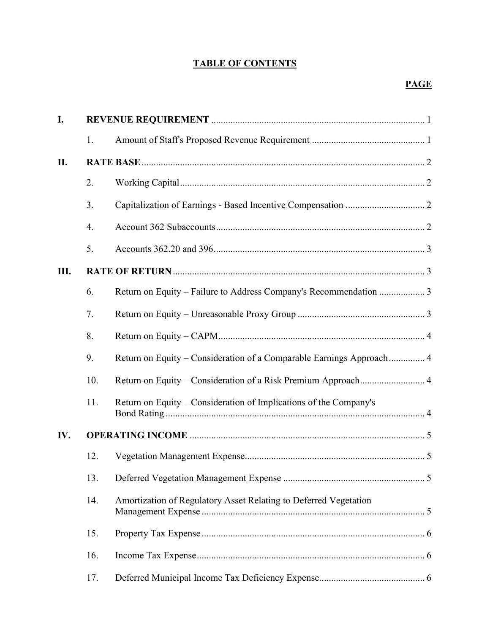# **TABLE OF CONTENTS**

| I.  |     |                                                                      |
|-----|-----|----------------------------------------------------------------------|
|     | 1.  |                                                                      |
| II. |     |                                                                      |
|     | 2.  |                                                                      |
|     | 3.  |                                                                      |
|     | 4.  |                                                                      |
|     | 5.  |                                                                      |
| Ш.  |     |                                                                      |
|     | 6.  | Return on Equity - Failure to Address Company's Recommendation  3    |
|     | 7.  |                                                                      |
|     | 8.  |                                                                      |
|     | 9.  | Return on Equity – Consideration of a Comparable Earnings Approach 4 |
|     | 10. |                                                                      |
|     | 11. | Return on Equity – Consideration of Implications of the Company's    |
| IV. |     |                                                                      |
|     | 12. |                                                                      |
|     | 13. |                                                                      |
|     | 14. | Amortization of Regulatory Asset Relating to Deferred Vegetation     |
|     | 15. |                                                                      |
|     | 16. |                                                                      |
|     | 17. |                                                                      |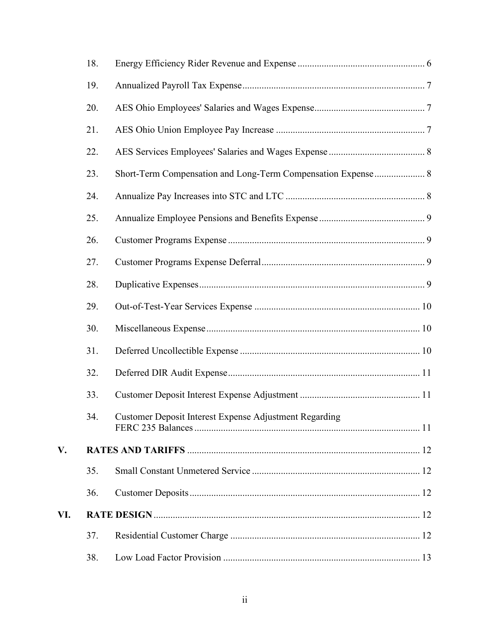|     | 18. |                                                              |
|-----|-----|--------------------------------------------------------------|
|     | 19. |                                                              |
|     | 20. |                                                              |
|     | 21. |                                                              |
|     | 22. |                                                              |
|     | 23. | Short-Term Compensation and Long-Term Compensation Expense 8 |
|     | 24. |                                                              |
|     | 25. |                                                              |
|     | 26. |                                                              |
|     | 27. |                                                              |
|     | 28. |                                                              |
|     | 29. |                                                              |
|     | 30. |                                                              |
|     | 31. |                                                              |
|     | 32. |                                                              |
|     | 33. |                                                              |
|     | 34. | Customer Deposit Interest Expense Adjustment Regarding       |
| V.  |     |                                                              |
|     | 35. |                                                              |
|     | 36. |                                                              |
| VI. |     |                                                              |
|     | 37. |                                                              |
|     | 38. |                                                              |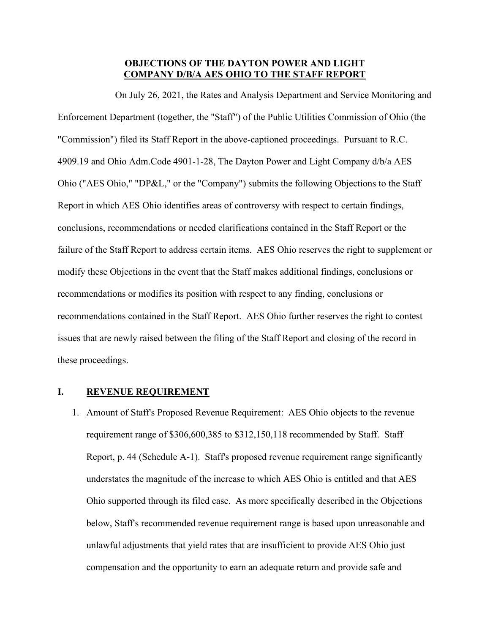### **OBJECTIONS OF THE DAYTON POWER AND LIGHT COMPANY D/B/A AES OHIO TO THE STAFF REPORT**

On July 26, 2021, the Rates and Analysis Department and Service Monitoring and Enforcement Department (together, the "Staff") of the Public Utilities Commission of Ohio (the "Commission") filed its Staff Report in the above-captioned proceedings. Pursuant to R.C. 4909.19 and Ohio Adm.Code 4901-1-28, The Dayton Power and Light Company d/b/a AES Ohio ("AES Ohio," "DP&L," or the "Company") submits the following Objections to the Staff Report in which AES Ohio identifies areas of controversy with respect to certain findings, conclusions, recommendations or needed clarifications contained in the Staff Report or the failure of the Staff Report to address certain items. AES Ohio reserves the right to supplement or modify these Objections in the event that the Staff makes additional findings, conclusions or recommendations or modifies its position with respect to any finding, conclusions or recommendations contained in the Staff Report. AES Ohio further reserves the right to contest issues that are newly raised between the filing of the Staff Report and closing of the record in these proceedings.

## <span id="page-3-0"></span>**I. REVENUE REQUIREMENT**

1. Amount of Staff's Proposed Revenue Requirement: AES Ohio objects to the revenue requirement range of \$306,600,385 to \$312,150,118 recommended by Staff. Staff Report, p. 44 (Schedule A-1). Staff's proposed revenue requirement range significantly understates the magnitude of the increase to which AES Ohio is entitled and that AES Ohio supported through its filed case. As more specifically described in the Objections below, Staff's recommended revenue requirement range is based upon unreasonable and unlawful adjustments that yield rates that are insufficient to provide AES Ohio just compensation and the opportunity to earn an adequate return and provide safe and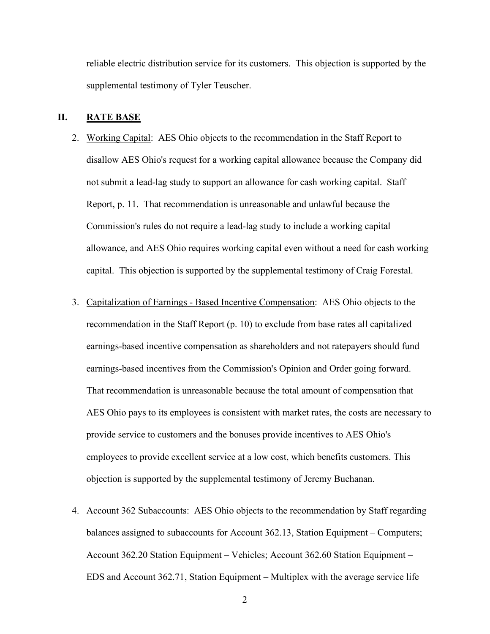reliable electric distribution service for its customers. This objection is supported by the supplemental testimony of Tyler Teuscher.

#### <span id="page-4-0"></span>**II. RATE BASE**

- 2. Working Capital: AES Ohio objects to the recommendation in the Staff Report to disallow AES Ohio's request for a working capital allowance because the Company did not submit a lead-lag study to support an allowance for cash working capital. Staff Report, p. 11. That recommendation is unreasonable and unlawful because the Commission's rules do not require a lead-lag study to include a working capital allowance, and AES Ohio requires working capital even without a need for cash working capital. This objection is supported by the supplemental testimony of Craig Forestal.
- 3. Capitalization of Earnings Based Incentive Compensation: AES Ohio objects to the recommendation in the Staff Report (p. 10) to exclude from base rates all capitalized earnings-based incentive compensation as shareholders and not ratepayers should fund earnings-based incentives from the Commission's Opinion and Order going forward. That recommendation is unreasonable because the total amount of compensation that AES Ohio pays to its employees is consistent with market rates, the costs are necessary to provide service to customers and the bonuses provide incentives to AES Ohio's employees to provide excellent service at a low cost, which benefits customers. This objection is supported by the supplemental testimony of Jeremy Buchanan.
- 4. Account 362 Subaccounts: AES Ohio objects to the recommendation by Staff regarding balances assigned to subaccounts for Account 362.13, Station Equipment – Computers; Account 362.20 Station Equipment – Vehicles; Account 362.60 Station Equipment – EDS and Account 362.71, Station Equipment – Multiplex with the average service life

2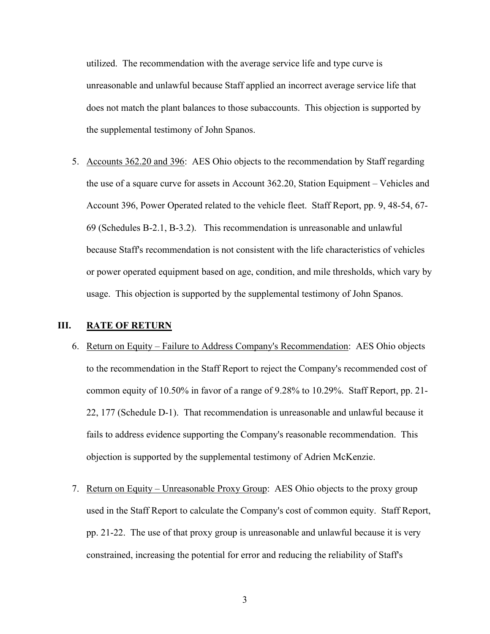utilized. The recommendation with the average service life and type curve is unreasonable and unlawful because Staff applied an incorrect average service life that does not match the plant balances to those subaccounts. This objection is supported by the supplemental testimony of John Spanos.

5. Accounts 362.20 and 396: AES Ohio objects to the recommendation by Staff regarding the use of a square curve for assets in Account 362.20, Station Equipment – Vehicles and Account 396, Power Operated related to the vehicle fleet. Staff Report, pp. 9, 48-54, 67- 69 (Schedules B-2.1, B-3.2). This recommendation is unreasonable and unlawful because Staff's recommendation is not consistent with the life characteristics of vehicles or power operated equipment based on age, condition, and mile thresholds, which vary by usage. This objection is supported by the supplemental testimony of John Spanos.

## <span id="page-5-0"></span>**III. RATE OF RETURN**

- 6. Return on Equity Failure to Address Company's Recommendation: AES Ohio objects to the recommendation in the Staff Report to reject the Company's recommended cost of common equity of 10.50% in favor of a range of 9.28% to 10.29%. Staff Report, pp. 21- 22, 177 (Schedule D-1). That recommendation is unreasonable and unlawful because it fails to address evidence supporting the Company's reasonable recommendation. This objection is supported by the supplemental testimony of Adrien McKenzie.
- 7. Return on Equity Unreasonable Proxy Group: AES Ohio objects to the proxy group used in the Staff Report to calculate the Company's cost of common equity. Staff Report, pp. 21-22. The use of that proxy group is unreasonable and unlawful because it is very constrained, increasing the potential for error and reducing the reliability of Staff's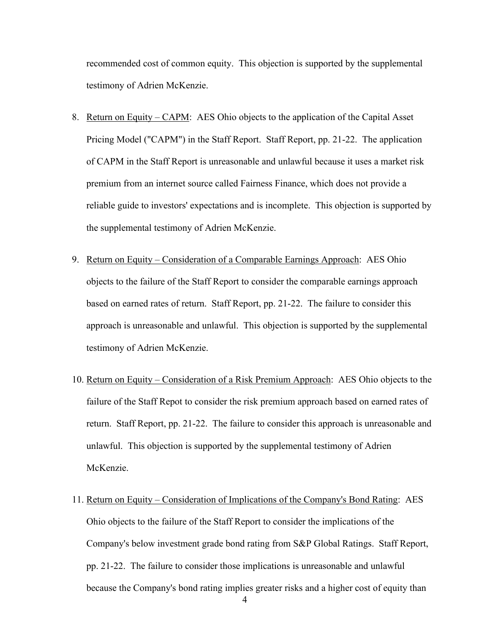recommended cost of common equity. This objection is supported by the supplemental testimony of Adrien McKenzie.

- 8. Return on Equity CAPM: AES Ohio objects to the application of the Capital Asset Pricing Model ("CAPM") in the Staff Report. Staff Report, pp. 21-22. The application of CAPM in the Staff Report is unreasonable and unlawful because it uses a market risk premium from an internet source called Fairness Finance, which does not provide a reliable guide to investors' expectations and is incomplete. This objection is supported by the supplemental testimony of Adrien McKenzie.
- 9. Return on Equity Consideration of a Comparable Earnings Approach: AES Ohio objects to the failure of the Staff Report to consider the comparable earnings approach based on earned rates of return. Staff Report, pp. 21-22. The failure to consider this approach is unreasonable and unlawful. This objection is supported by the supplemental testimony of Adrien McKenzie.
- 10. Return on Equity Consideration of a Risk Premium Approach: AES Ohio objects to the failure of the Staff Repot to consider the risk premium approach based on earned rates of return. Staff Report, pp. 21-22. The failure to consider this approach is unreasonable and unlawful. This objection is supported by the supplemental testimony of Adrien McKenzie.
- 11. Return on Equity Consideration of Implications of the Company's Bond Rating: AES Ohio objects to the failure of the Staff Report to consider the implications of the Company's below investment grade bond rating from S&P Global Ratings. Staff Report, pp. 21-22. The failure to consider those implications is unreasonable and unlawful because the Company's bond rating implies greater risks and a higher cost of equity than

4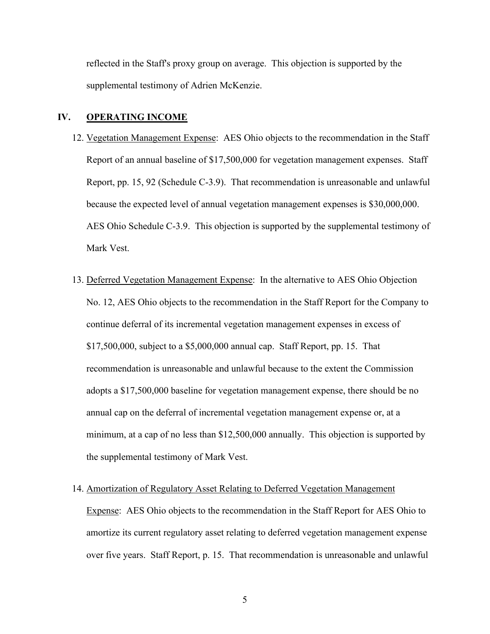reflected in the Staff's proxy group on average. This objection is supported by the supplemental testimony of Adrien McKenzie.

## <span id="page-7-0"></span>**IV. OPERATING INCOME**

- 12. Vegetation Management Expense: AES Ohio objects to the recommendation in the Staff Report of an annual baseline of \$17,500,000 for vegetation management expenses. Staff Report, pp. 15, 92 (Schedule C-3.9). That recommendation is unreasonable and unlawful because the expected level of annual vegetation management expenses is \$30,000,000. AES Ohio Schedule C-3.9. This objection is supported by the supplemental testimony of Mark Vest.
- 13. Deferred Vegetation Management Expense: In the alternative to AES Ohio Objection No. 12, AES Ohio objects to the recommendation in the Staff Report for the Company to continue deferral of its incremental vegetation management expenses in excess of \$17,500,000, subject to a \$5,000,000 annual cap. Staff Report, pp. 15. That recommendation is unreasonable and unlawful because to the extent the Commission adopts a \$17,500,000 baseline for vegetation management expense, there should be no annual cap on the deferral of incremental vegetation management expense or, at a minimum, at a cap of no less than \$12,500,000 annually. This objection is supported by the supplemental testimony of Mark Vest.

## 14. Amortization of Regulatory Asset Relating to Deferred Vegetation Management

Expense: AES Ohio objects to the recommendation in the Staff Report for AES Ohio to amortize its current regulatory asset relating to deferred vegetation management expense over five years. Staff Report, p. 15. That recommendation is unreasonable and unlawful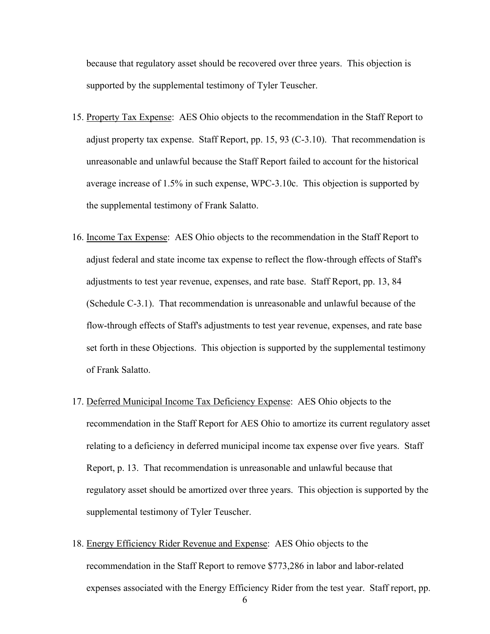because that regulatory asset should be recovered over three years. This objection is supported by the supplemental testimony of Tyler Teuscher.

- 15. Property Tax Expense:AES Ohio objects to the recommendation in the Staff Report to adjust property tax expense. Staff Report, pp. 15, 93 (C-3.10). That recommendation is unreasonable and unlawful because the Staff Report failed to account for the historical average increase of 1.5% in such expense, WPC-3.10c. This objection is supported by the supplemental testimony of Frank Salatto.
- 16. Income Tax Expense: AES Ohio objects to the recommendation in the Staff Report to adjust federal and state income tax expense to reflect the flow-through effects of Staff's adjustments to test year revenue, expenses, and rate base. Staff Report, pp. 13, 84 (Schedule C-3.1). That recommendation is unreasonable and unlawful because of the flow-through effects of Staff's adjustments to test year revenue, expenses, and rate base set forth in these Objections. This objection is supported by the supplemental testimony of Frank Salatto.
- 17. Deferred Municipal Income Tax Deficiency Expense: AES Ohio objects to the recommendation in the Staff Report for AES Ohio to amortize its current regulatory asset relating to a deficiency in deferred municipal income tax expense over five years. Staff Report, p. 13. That recommendation is unreasonable and unlawful because that regulatory asset should be amortized over three years. This objection is supported by the supplemental testimony of Tyler Teuscher.
- 18. Energy Efficiency Rider Revenue and Expense: AES Ohio objects to the recommendation in the Staff Report to remove \$773,286 in labor and labor-related expenses associated with the Energy Efficiency Rider from the test year. Staff report, pp.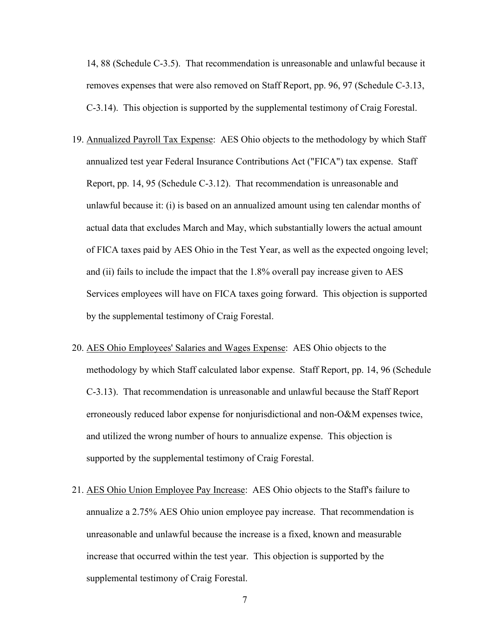14, 88 (Schedule C-3.5). That recommendation is unreasonable and unlawful because it removes expenses that were also removed on Staff Report, pp. 96, 97 (Schedule C-3.13, C-3.14). This objection is supported by the supplemental testimony of Craig Forestal.

- 19. Annualized Payroll Tax Expense: AES Ohio objects to the methodology by which Staff annualized test year Federal Insurance Contributions Act ("FICA") tax expense. Staff Report, pp. 14, 95 (Schedule C-3.12). That recommendation is unreasonable and unlawful because it: (i) is based on an annualized amount using ten calendar months of actual data that excludes March and May, which substantially lowers the actual amount of FICA taxes paid by AES Ohio in the Test Year, as well as the expected ongoing level; and (ii) fails to include the impact that the 1.8% overall pay increase given to AES Services employees will have on FICA taxes going forward. This objection is supported by the supplemental testimony of Craig Forestal.
- 20. AES Ohio Employees' Salaries and Wages Expense: AES Ohio objects to the methodology by which Staff calculated labor expense. Staff Report, pp. 14, 96 (Schedule C-3.13). That recommendation is unreasonable and unlawful because the Staff Report erroneously reduced labor expense for nonjurisdictional and non-O&M expenses twice, and utilized the wrong number of hours to annualize expense. This objection is supported by the supplemental testimony of Craig Forestal.
- 21. AES Ohio Union Employee Pay Increase: AES Ohio objects to the Staff's failure to annualize a 2.75% AES Ohio union employee pay increase. That recommendation is unreasonable and unlawful because the increase is a fixed, known and measurable increase that occurred within the test year. This objection is supported by the supplemental testimony of Craig Forestal.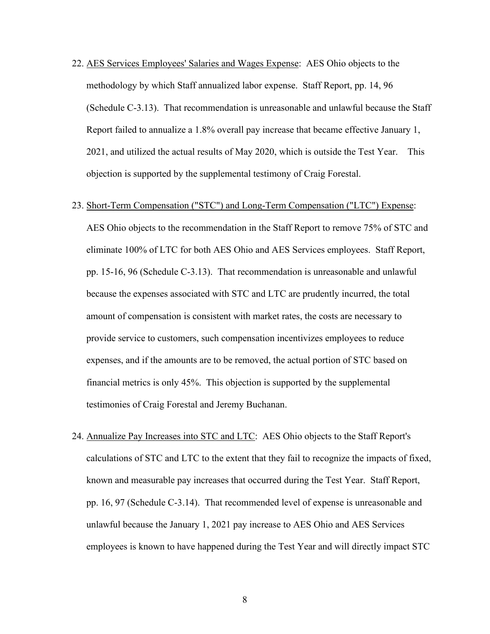- 22. AES Services Employees' Salaries and Wages Expense: AES Ohio objects to the methodology by which Staff annualized labor expense. Staff Report, pp. 14, 96 (Schedule C-3.13). That recommendation is unreasonable and unlawful because the Staff Report failed to annualize a 1.8% overall pay increase that became effective January 1, 2021, and utilized the actual results of May 2020, which is outside the Test Year. This objection is supported by the supplemental testimony of Craig Forestal.
- 23. Short-Term Compensation ("STC") and Long-Term Compensation ("LTC") Expense:

AES Ohio objects to the recommendation in the Staff Report to remove 75% of STC and eliminate 100% of LTC for both AES Ohio and AES Services employees. Staff Report, pp. 15-16, 96 (Schedule C-3.13). That recommendation is unreasonable and unlawful because the expenses associated with STC and LTC are prudently incurred, the total amount of compensation is consistent with market rates, the costs are necessary to provide service to customers, such compensation incentivizes employees to reduce expenses, and if the amounts are to be removed, the actual portion of STC based on financial metrics is only 45%. This objection is supported by the supplemental testimonies of Craig Forestal and Jeremy Buchanan.

24. Annualize Pay Increases into STC and LTC: AES Ohio objects to the Staff Report's calculations of STC and LTC to the extent that they fail to recognize the impacts of fixed, known and measurable pay increases that occurred during the Test Year. Staff Report, pp. 16, 97 (Schedule C-3.14). That recommended level of expense is unreasonable and unlawful because the January 1, 2021 pay increase to AES Ohio and AES Services employees is known to have happened during the Test Year and will directly impact STC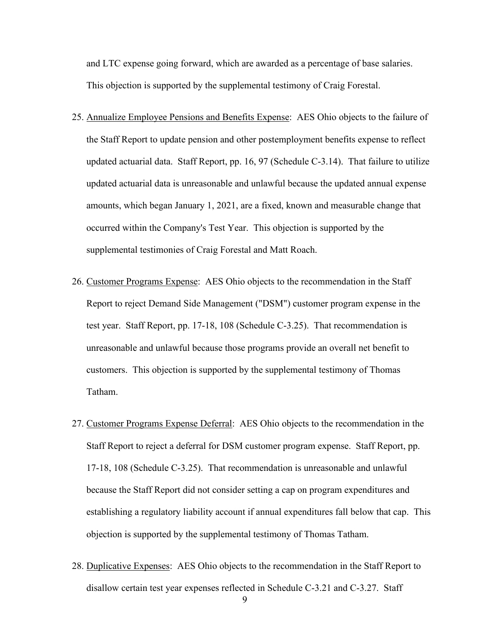and LTC expense going forward, which are awarded as a percentage of base salaries. This objection is supported by the supplemental testimony of Craig Forestal.

- 25. Annualize Employee Pensions and Benefits Expense: AES Ohio objects to the failure of the Staff Report to update pension and other postemployment benefits expense to reflect updated actuarial data. Staff Report, pp. 16, 97 (Schedule C-3.14). That failure to utilize updated actuarial data is unreasonable and unlawful because the updated annual expense amounts, which began January 1, 2021, are a fixed, known and measurable change that occurred within the Company's Test Year. This objection is supported by the supplemental testimonies of Craig Forestal and Matt Roach.
- 26. Customer Programs Expense: AES Ohio objects to the recommendation in the Staff Report to reject Demand Side Management ("DSM") customer program expense in the test year. Staff Report, pp. 17-18, 108 (Schedule C-3.25). That recommendation is unreasonable and unlawful because those programs provide an overall net benefit to customers. This objection is supported by the supplemental testimony of Thomas Tatham.
- 27. Customer Programs Expense Deferral: AES Ohio objects to the recommendation in the Staff Report to reject a deferral for DSM customer program expense. Staff Report, pp. 17-18, 108 (Schedule C-3.25). That recommendation is unreasonable and unlawful because the Staff Report did not consider setting a cap on program expenditures and establishing a regulatory liability account if annual expenditures fall below that cap. This objection is supported by the supplemental testimony of Thomas Tatham.
- 28. Duplicative Expenses: AES Ohio objects to the recommendation in the Staff Report to disallow certain test year expenses reflected in Schedule C-3.21 and C-3.27. Staff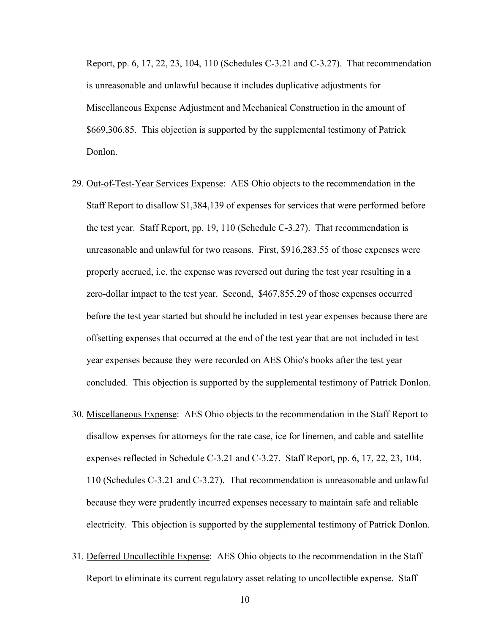Report, pp. 6, 17, 22, 23, 104, 110 (Schedules C-3.21 and C-3.27). That recommendation is unreasonable and unlawful because it includes duplicative adjustments for Miscellaneous Expense Adjustment and Mechanical Construction in the amount of \$669,306.85. This objection is supported by the supplemental testimony of Patrick Donlon.

- 29. Out-of-Test-Year Services Expense: AES Ohio objects to the recommendation in the Staff Report to disallow \$1,384,139 of expenses for services that were performed before the test year. Staff Report, pp. 19, 110 (Schedule C-3.27). That recommendation is unreasonable and unlawful for two reasons. First, \$916,283.55 of those expenses were properly accrued, i.e. the expense was reversed out during the test year resulting in a zero-dollar impact to the test year. Second, \$467,855.29 of those expenses occurred before the test year started but should be included in test year expenses because there are offsetting expenses that occurred at the end of the test year that are not included in test year expenses because they were recorded on AES Ohio's books after the test year concluded. This objection is supported by the supplemental testimony of Patrick Donlon.
- 30. Miscellaneous Expense: AES Ohio objects to the recommendation in the Staff Report to disallow expenses for attorneys for the rate case, ice for linemen, and cable and satellite expenses reflected in Schedule C-3.21 and C-3.27. Staff Report, pp. 6, 17, 22, 23, 104, 110 (Schedules C-3.21 and C-3.27). That recommendation is unreasonable and unlawful because they were prudently incurred expenses necessary to maintain safe and reliable electricity. This objection is supported by the supplemental testimony of Patrick Donlon.
- 31. Deferred Uncollectible Expense: AES Ohio objects to the recommendation in the Staff Report to eliminate its current regulatory asset relating to uncollectible expense. Staff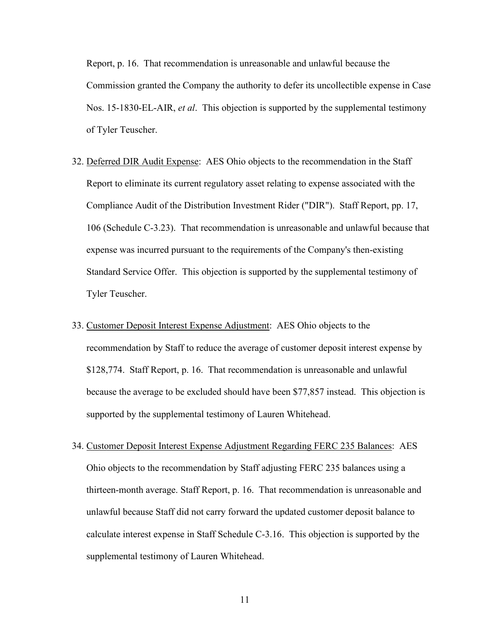Report, p. 16. That recommendation is unreasonable and unlawful because the Commission granted the Company the authority to defer its uncollectible expense in Case Nos. 15-1830-EL-AIR, *et al*. This objection is supported by the supplemental testimony of Tyler Teuscher.

- 32. Deferred DIR Audit Expense: AES Ohio objects to the recommendation in the Staff Report to eliminate its current regulatory asset relating to expense associated with the Compliance Audit of the Distribution Investment Rider ("DIR"). Staff Report, pp. 17, 106 (Schedule C-3.23). That recommendation is unreasonable and unlawful because that expense was incurred pursuant to the requirements of the Company's then-existing Standard Service Offer. This objection is supported by the supplemental testimony of Tyler Teuscher.
- 33. Customer Deposit Interest Expense Adjustment: AES Ohio objects to the recommendation by Staff to reduce the average of customer deposit interest expense by \$128,774. Staff Report, p. 16. That recommendation is unreasonable and unlawful because the average to be excluded should have been \$77,857 instead. This objection is supported by the supplemental testimony of Lauren Whitehead.
- 34. Customer Deposit Interest Expense Adjustment Regarding FERC 235 Balances: AES Ohio objects to the recommendation by Staff adjusting FERC 235 balances using a thirteen-month average. Staff Report, p. 16. That recommendation is unreasonable and unlawful because Staff did not carry forward the updated customer deposit balance to calculate interest expense in Staff Schedule C-3.16. This objection is supported by the supplemental testimony of Lauren Whitehead.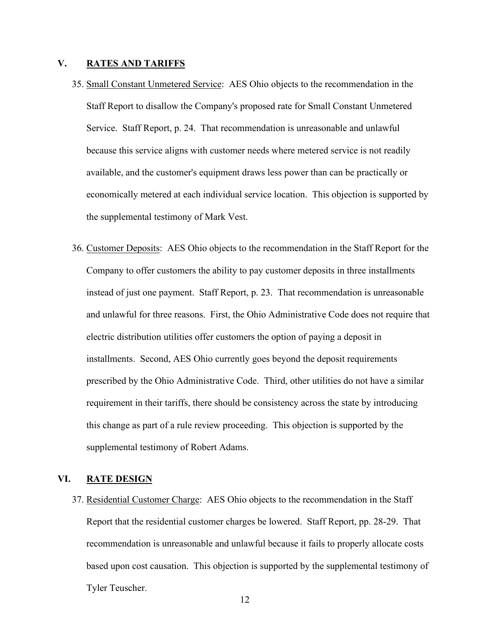## <span id="page-14-1"></span>**V. RATES AND TARIFFS**

- 35. Small Constant Unmetered Service: AES Ohio objects to the recommendation in the Staff Report to disallow the Company's proposed rate for Small Constant Unmetered Service. Staff Report, p. 24. That recommendation is unreasonable and unlawful because this service aligns with customer needs where metered service is not readily available, and the customer's equipment draws less power than can be practically or economically metered at each individual service location. This objection is supported by the supplemental testimony of Mark Vest.
- 36. Customer Deposits: AES Ohio objects to the recommendation in the Staff Report for the Company to offer customers the ability to pay customer deposits in three installments instead of just one payment. Staff Report, p. 23. That recommendation is unreasonable and unlawful for three reasons. First, the Ohio Administrative Code does not require that electric distribution utilities offer customers the option of paying a deposit in installments. Second, AES Ohio currently goes beyond the deposit requirements prescribed by the Ohio Administrative Code. Third, other utilities do not have a similar requirement in their tariffs, there should be consistency across the state by introducing this change as part of a rule review proceeding. This objection is supported by the supplemental testimony of Robert Adams.

## <span id="page-14-0"></span>**VI. RATE DESIGN**

37. Residential Customer Charge: AES Ohio objects to the recommendation in the Staff Report that the residential customer charges be lowered. Staff Report, pp. 28-29. That recommendation is unreasonable and unlawful because it fails to properly allocate costs based upon cost causation. This objection is supported by the supplemental testimony of Tyler Teuscher.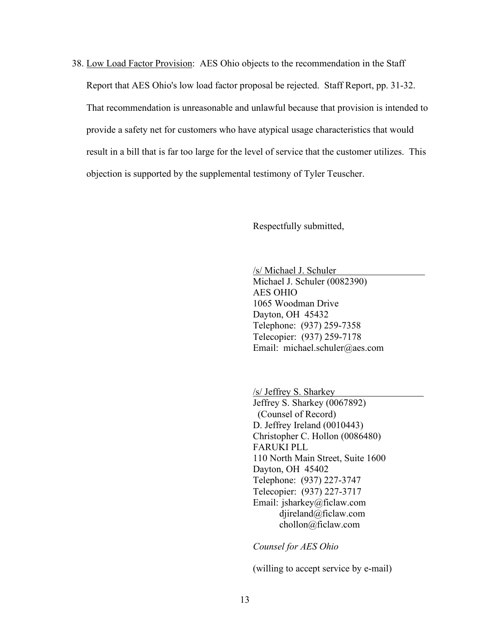38. Low Load Factor Provision: AES Ohio objects to the recommendation in the Staff Report that AES Ohio's low load factor proposal be rejected. Staff Report, pp. 31-32. That recommendation is unreasonable and unlawful because that provision is intended to provide a safety net for customers who have atypical usage characteristics that would result in a bill that is far too large for the level of service that the customer utilizes. This objection is supported by the supplemental testimony of Tyler Teuscher.

Respectfully submitted,

/s/ Michael J. Schuler

Michael J. Schuler (0082390) AES OHIO 1065 Woodman Drive Dayton, OH 45432 Telephone: (937) 259-7358 Telecopier: (937) 259-7178 Email: michael.schuler@aes.com

/s/ Jeffrey S. Sharkey Jeffrey S. Sharkey (0067892) (Counsel of Record) D. Jeffrey Ireland (0010443) Christopher C. Hollon (0086480) FARUKI PLL 110 North Main Street, Suite 1600 Dayton, OH 45402 Telephone: (937) 227-3747 Telecopier: (937) 227-3717 Email: jsharkey@ficlaw.com djireland@ficlaw.com chollon@ficlaw.com

*Counsel for AES Ohio*

(willing to accept service by e-mail)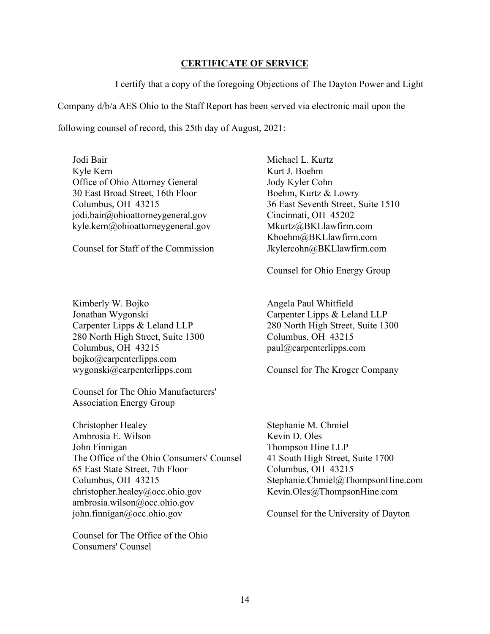## **CERTIFICATE OF SERVICE**

I certify that a copy of the foregoing Objections of The Dayton Power and Light

Company d/b/a AES Ohio to the Staff Report has been served via electronic mail upon the

following counsel of record, this 25th day of August, 2021:

Jodi Bair Kyle Kern Office of Ohio Attorney General 30 East Broad Street, 16th Floor Columbus, OH 43215 jodi.bair@ohioattorneygeneral.gov kyle.kern@ohioattorneygeneral.gov

Counsel for Staff of the Commission

Kimberly W. Bojko Jonathan Wygonski Carpenter Lipps & Leland LLP 280 North High Street, Suite 1300 Columbus, OH 43215 bojko@carpenterlipps.com wygonski@carpenterlipps.com

Counsel for The Ohio Manufacturers' Association Energy Group

Christopher Healey Ambrosia E. Wilson John Finnigan The Office of the Ohio Consumers' Counsel 65 East State Street, 7th Floor Columbus, OH 43215 christopher.healey@occ.ohio.gov ambrosia.wilson@occ.ohio.gov john.finnigan@occ.ohio.gov

Counsel for The Office of the Ohio Consumers' Counsel

Michael L. Kurtz Kurt J. Boehm Jody Kyler Cohn Boehm, Kurtz & Lowry 36 East Seventh Street, Suite 1510 Cincinnati, OH 45202 Mkurtz@BKLlawfirm.com Kboehm@BKLlawfirm.com Jkylercohn@BKLlawfirm.com

Counsel for Ohio Energy Group

Angela Paul Whitfield Carpenter Lipps & Leland LLP 280 North High Street, Suite 1300 Columbus, OH 43215 paul@carpenterlipps.com

Counsel for The Kroger Company

Stephanie M. Chmiel Kevin D. Oles Thompson Hine LLP 41 South High Street, Suite 1700 Columbus, OH 43215 Stephanie.Chmiel@ThompsonHine.com Kevin.Oles@ThompsonHine.com

Counsel for the University of Dayton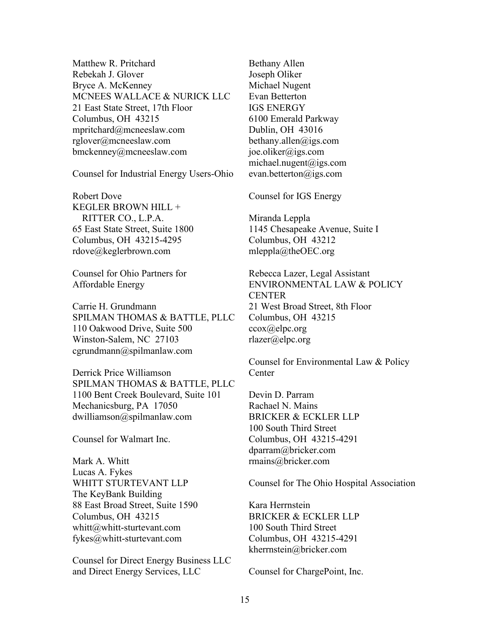Matthew R. Pritchard Rebekah J. Glover Bryce A. McKenney MCNEES WALLACE & NURICK LLC 21 East State Street, 17th Floor Columbus, OH 43215 mpritchard@mcneeslaw.com rglover@mcneeslaw.com bmckenney@mcneeslaw.com

Counsel for Industrial Energy Users-Ohio

Robert Dove KEGLER BROWN HILL + RITTER CO., L.P.A. 65 East State Street, Suite 1800 Columbus, OH 43215-4295 rdove@keglerbrown.com

Counsel for Ohio Partners for Affordable Energy

Carrie H. Grundmann SPILMAN THOMAS & BATTLE, PLLC 110 Oakwood Drive, Suite 500 Winston-Salem, NC 27103 cgrundmann@spilmanlaw.com

Derrick Price Williamson SPILMAN THOMAS & BATTLE, PLLC 1100 Bent Creek Boulevard, Suite 101 Mechanicsburg, PA 17050 dwilliamson@spilmanlaw.com

Counsel for Walmart Inc.

Mark A. Whitt Lucas A. Fykes WHITT STURTEVANT LLP The KeyBank Building 88 East Broad Street, Suite 1590 Columbus, OH 43215 whitt@whitt-sturtevant.com fykes@whitt-sturtevant.com

Counsel for Direct Energy Business LLC and Direct Energy Services, LLC

Bethany Allen Joseph Oliker Michael Nugent Evan Betterton IGS ENERGY 6100 Emerald Parkway Dublin, OH 43016 bethany.allen@igs.com joe.oliker@igs.com michael.nugent@igs.com evan.betterton@igs.com

Counsel for IGS Energy

Miranda Leppla 1145 Chesapeake Avenue, Suite I Columbus, OH 43212 mleppla@theOEC.org

Rebecca Lazer, Legal Assistant ENVIRONMENTAL LAW & POLICY **CENTER** 21 West Broad Street, 8th Floor Columbus, OH 43215 ccox@elpc.org rlazer@elpc.org

Counsel for Environmental Law & Policy Center

Devin D. Parram Rachael N. Mains BRICKER & ECKLER LLP 100 South Third Street Columbus, OH 43215-4291 dparram@bricker.com rmains@bricker.com

Counsel for The Ohio Hospital Association

Kara Herrnstein BRICKER & ECKLER LLP 100 South Third Street Columbus, OH 43215-4291 kherrnstein@bricker.com

Counsel for ChargePoint, Inc.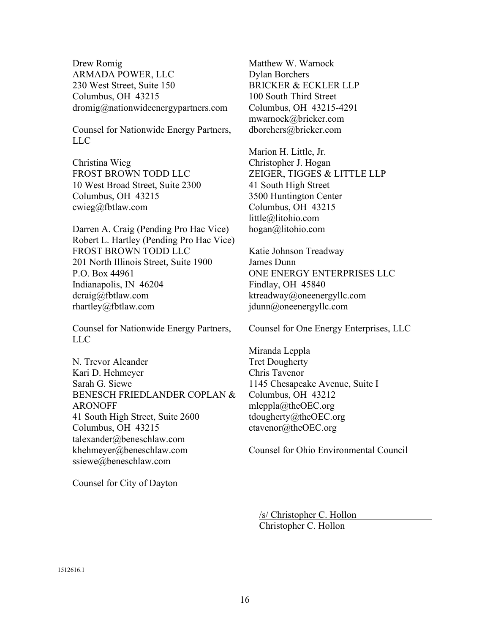Drew Romig ARMADA POWER, LLC 230 West Street, Suite 150 Columbus, OH 43215 dromig@nationwideenergypartners.com

Counsel for Nationwide Energy Partners, LLC

Christina Wieg FROST BROWN TODD LLC 10 West Broad Street, Suite 2300 Columbus, OH 43215 cwieg@fbtlaw.com

Darren A. Craig (Pending Pro Hac Vice) Robert L. Hartley (Pending Pro Hac Vice) FROST BROWN TODD LLC 201 North Illinois Street, Suite 1900 P.O. Box 44961 Indianapolis, IN 46204 dcraig@fbtlaw.com rhartley@fbtlaw.com

Counsel for Nationwide Energy Partners, LLC

N. Trevor Aleander Kari D. Hehmeyer Sarah G. Siewe BENESCH FRIEDLANDER COPLAN & ARONOFF 41 South High Street, Suite 2600 Columbus, OH 43215 talexander@beneschlaw.com khehmeyer@beneschlaw.com ssiewe@beneschlaw.com

Counsel for City of Dayton

Matthew W. Warnock Dylan Borchers BRICKER & ECKLER LLP 100 South Third Street Columbus, OH 43215-4291 mwarnock@bricker.com dborchers@bricker.com

Marion H. Little, Jr. Christopher J. Hogan ZEIGER, TIGGES & LITTLE LLP 41 South High Street 3500 Huntington Center Columbus, OH 43215 little@litohio.com hogan@litohio.com

Katie Johnson Treadway James Dunn ONE ENERGY ENTERPRISES LLC Findlay, OH 45840 ktreadway@oneenergyllc.com jdunn@oneenergyllc.com

Counsel for One Energy Enterprises, LLC

Miranda Leppla Tret Dougherty Chris Tavenor 1145 Chesapeake Avenue, Suite I Columbus, OH 43212 mleppla@theOEC.org tdougherty@theOEC.org ctavenor@theOEC.org

Counsel for Ohio Environmental Council

/s/ Christopher C. Hollon Christopher C. Hollon